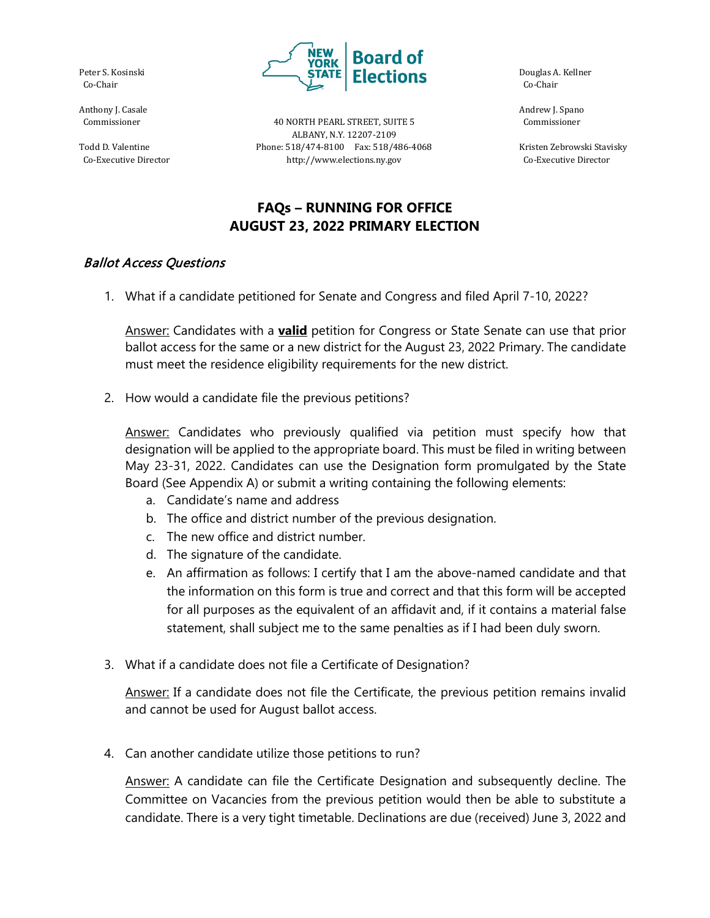Peter S. Kosinski Co-Chair

Anthony J. Casale Commissioner

Todd D. Valentine Co-Executive Director



40 NORTH PEARL STREET, SUITE 5 ALBANY, N.Y. 12207-2109 Phone: 518/474-8100 Fax: 518/486-4068 http://www.elections.ny.gov

 Douglas A. Kellner Co-Chair

 Andrew J. Spano Commissioner

 Kristen Zebrowski Stavisky Co-Executive Director

## **FAQs – RUNNING FOR OFFICE AUGUST 23, 2022 PRIMARY ELECTION**

## Ballot Access Questions

1. What if a candidate petitioned for Senate and Congress and filed April 7-10, 2022?

Answer: Candidates with a **valid** petition for Congress or State Senate can use that prior ballot access for the same or a new district for the August 23, 2022 Primary. The candidate must meet the residence eligibility requirements for the new district.

2. How would a candidate file the previous petitions?

Answer: Candidates who previously qualified via petition must specify how that designation will be applied to the appropriate board. This must be filed in writing between May 23-31, 2022. Candidates can use the Designation form promulgated by the State Board (See Appendix A) or submit a writing containing the following elements:

- a. Candidate's name and address
- b. The office and district number of the previous designation.
- c. The new office and district number.
- d. The signature of the candidate.
- e. An affirmation as follows: I certify that I am the above-named candidate and that the information on this form is true and correct and that this form will be accepted for all purposes as the equivalent of an affidavit and, if it contains a material false statement, shall subject me to the same penalties as if I had been duly sworn.
- 3. What if a candidate does not file a Certificate of Designation?

Answer: If a candidate does not file the Certificate, the previous petition remains invalid and cannot be used for August ballot access.

4. Can another candidate utilize those petitions to run?

Answer: A candidate can file the Certificate Designation and subsequently decline. The Committee on Vacancies from the previous petition would then be able to substitute a candidate. There is a very tight timetable. Declinations are due (received) June 3, 2022 and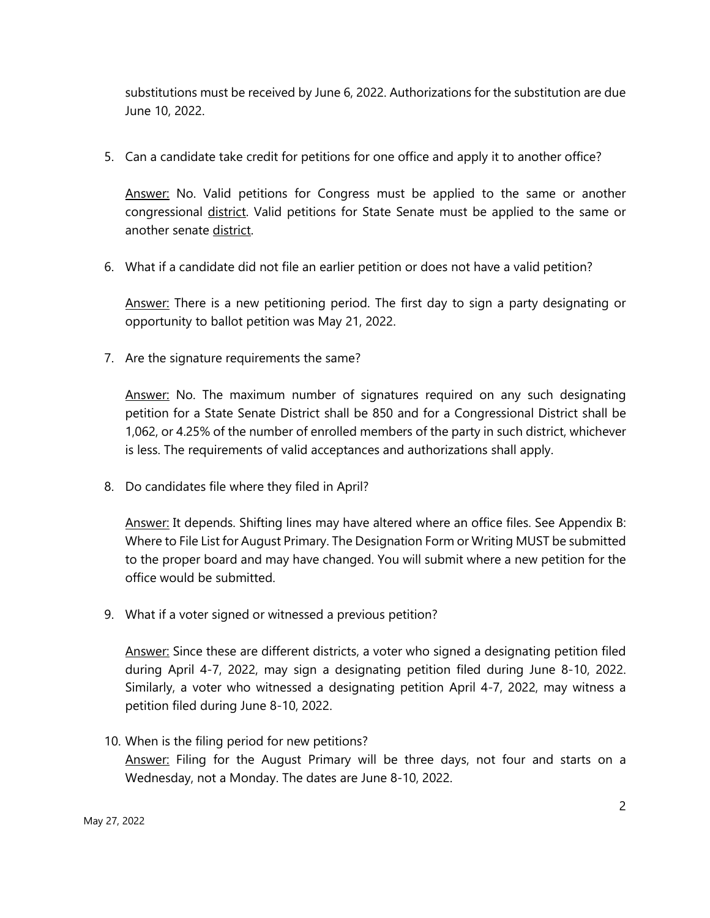substitutions must be received by June 6, 2022. Authorizations for the substitution are due June 10, 2022.

5. Can a candidate take credit for petitions for one office and apply it to another office?

Answer: No. Valid petitions for Congress must be applied to the same or another congressional district. Valid petitions for State Senate must be applied to the same or another senate district.

6. What if a candidate did not file an earlier petition or does not have a valid petition?

Answer: There is a new petitioning period. The first day to sign a party designating or opportunity to ballot petition was May 21, 2022.

7. Are the signature requirements the same?

Answer: No. The maximum number of signatures required on any such designating petition for a State Senate District shall be 850 and for a Congressional District shall be 1,062, or 4.25% of the number of enrolled members of the party in such district, whichever is less. The requirements of valid acceptances and authorizations shall apply.

8. Do candidates file where they filed in April?

Answer: It depends. Shifting lines may have altered where an office files. See Appendix B: Where to File List for August Primary. The Designation Form or Writing MUST be submitted to the proper board and may have changed. You will submit where a new petition for the office would be submitted.

9. What if a voter signed or witnessed a previous petition?

Answer: Since these are different districts, a voter who signed a designating petition filed during April 4-7, 2022, may sign a designating petition filed during June 8-10, 2022. Similarly, a voter who witnessed a designating petition April 4-7, 2022, may witness a petition filed during June 8-10, 2022.

10. When is the filing period for new petitions? Answer: Filing for the August Primary will be three days, not four and starts on a Wednesday, not a Monday. The dates are June 8-10, 2022.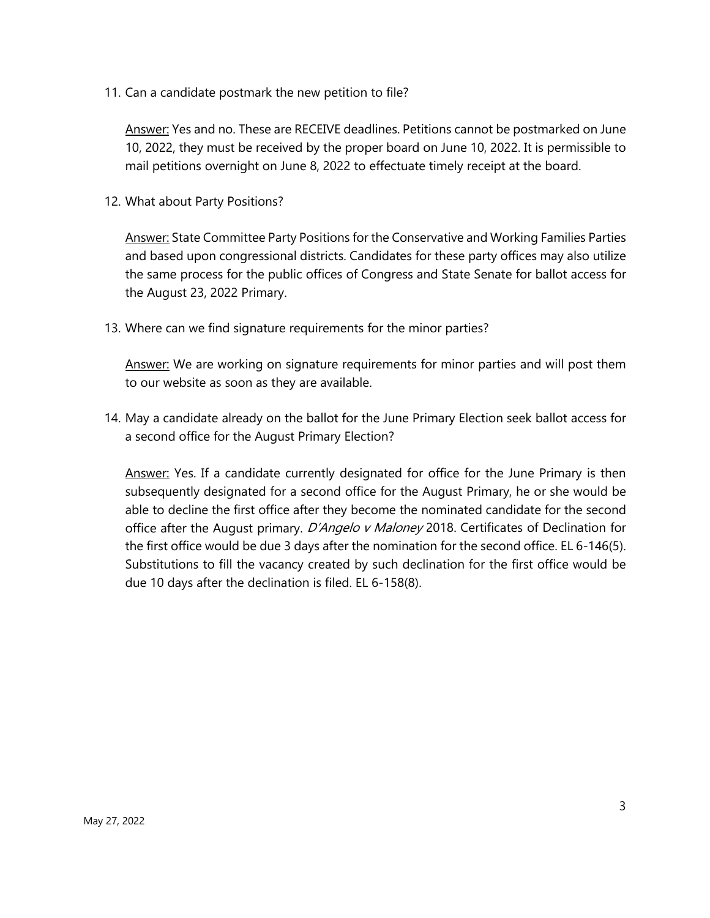11. Can a candidate postmark the new petition to file?

Answer: Yes and no. These are RECEIVE deadlines. Petitions cannot be postmarked on June 10, 2022, they must be received by the proper board on June 10, 2022. It is permissible to mail petitions overnight on June 8, 2022 to effectuate timely receipt at the board.

12. What about Party Positions?

Answer: State Committee Party Positions for the Conservative and Working Families Parties and based upon congressional districts. Candidates for these party offices may also utilize the same process for the public offices of Congress and State Senate for ballot access for the August 23, 2022 Primary.

13. Where can we find signature requirements for the minor parties?

Answer: We are working on signature requirements for minor parties and will post them to our website as soon as they are available.

14. May a candidate already on the ballot for the June Primary Election seek ballot access for a second office for the August Primary Election?

Answer: Yes. If a candidate currently designated for office for the June Primary is then subsequently designated for a second office for the August Primary, he or she would be able to decline the first office after they become the nominated candidate for the second office after the August primary. D'Angelo v Maloney 2018. Certificates of Declination for the first office would be due 3 days after the nomination for the second office. EL 6-146(5). Substitutions to fill the vacancy created by such declination for the first office would be due 10 days after the declination is filed. EL 6-158(8).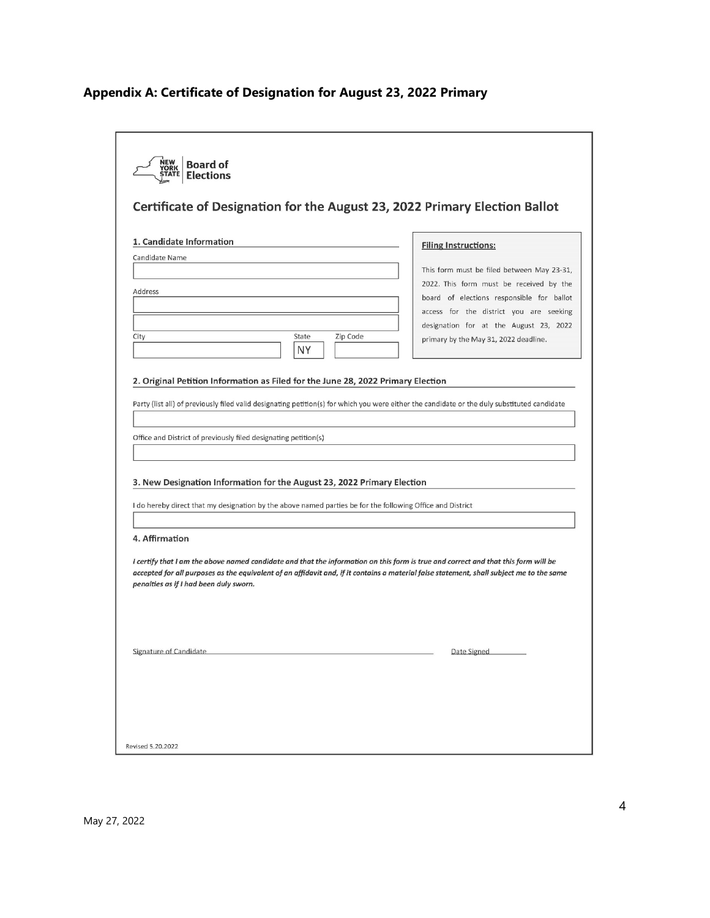# **Appendix A: Certificate of Designation for August 23, 2022 Primary**

| 1. Candidate Information                                                                                                                                                                                                                                                                                                                                                                                                   | <b>Filing Instructions:</b>                                                                                                                                                                                                                                      |
|----------------------------------------------------------------------------------------------------------------------------------------------------------------------------------------------------------------------------------------------------------------------------------------------------------------------------------------------------------------------------------------------------------------------------|------------------------------------------------------------------------------------------------------------------------------------------------------------------------------------------------------------------------------------------------------------------|
| Candidate Name<br>Address<br>City<br>State<br>Zip Code<br><b>NY</b>                                                                                                                                                                                                                                                                                                                                                        | This form must be filed between May 23-31,<br>2022. This form must be received by the<br>board of elections responsible for ballot<br>access for the district you are seeking<br>designation for at the August 23, 2022<br>primary by the May 31, 2022 deadline. |
|                                                                                                                                                                                                                                                                                                                                                                                                                            |                                                                                                                                                                                                                                                                  |
|                                                                                                                                                                                                                                                                                                                                                                                                                            |                                                                                                                                                                                                                                                                  |
|                                                                                                                                                                                                                                                                                                                                                                                                                            |                                                                                                                                                                                                                                                                  |
| Party (list all) of previously filed valid designating petition(s) for which you were either the candidate or the duly substituted candidate<br>Office and District of previously filed designating petition(s)<br>3. New Designation Information for the August 23, 2022 Primary Election<br>I do hereby direct that my designation by the above named parties be for the following Office and District<br>4. Affirmation |                                                                                                                                                                                                                                                                  |
| I certify that I am the above named candidate and that the information on this form is true and correct and that this form will be<br>accepted for all purposes as the equivalent of an affidavit and, if it contains a material false statement, shall subject me to the same<br>penalties as if I had been duly sworn.                                                                                                   |                                                                                                                                                                                                                                                                  |